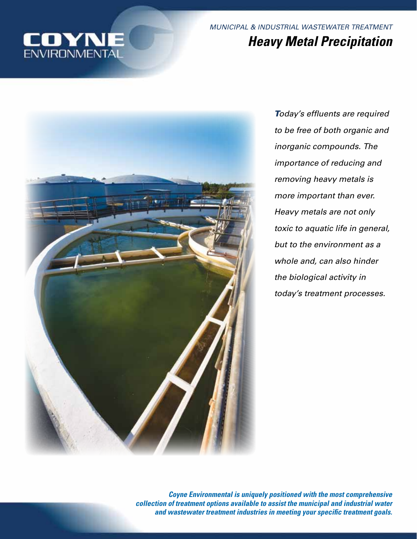

*MUNICIPAL & INDUSTRIAL WASTEWATER TREATMENT Heavy Metal Precipitation*



*Today's effluents are required to be free of both organic and inorganic compounds. The importance of reducing and removing heavy metals is more important than ever. Heavy metals are not only toxic to aquatic life in general, but to the environment as a whole and, can also hinder the biological activity in today's treatment processes.*

*Coyne Environmental is uniquely positioned with the most comprehensive collection of treatment options available to assist the municipal and industrial water and wastewater treatment industries in meeting your specific treatment goals.*